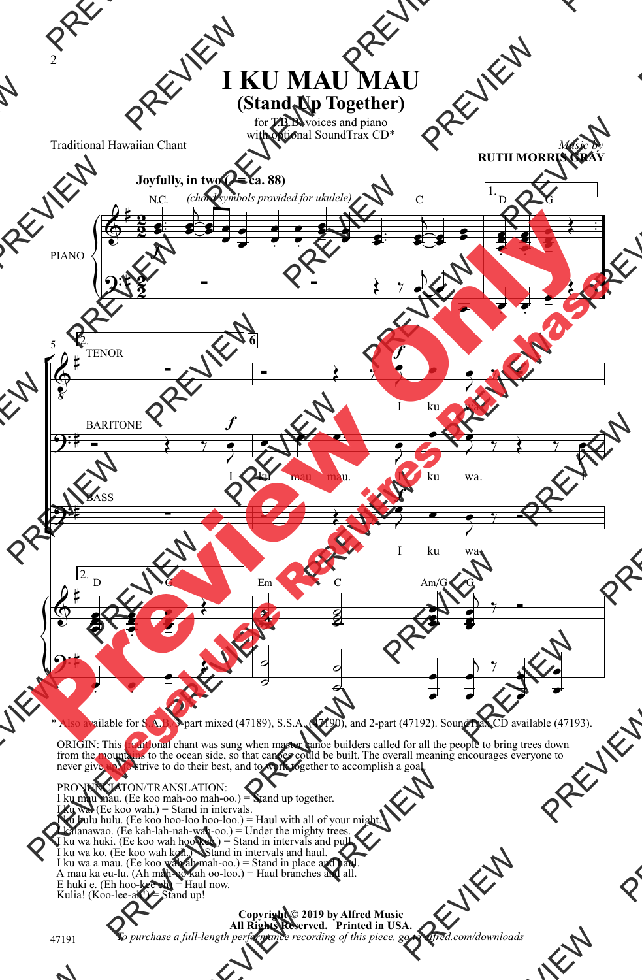

with optional SoundTrax CD\*

Traditional Hawaiian Chant

*Music by* **RUTH MORRIS GRAY**



vailable for  $S$ .  $\mathbb{R}$ ,  $\mathbb{S}$ -part mixed (47189), S.S.A. (47190), and 2-part (47192). SoundTrax CD available (47193).

ORIGIN: This **traditional** chant was sung when master canoe builders called for all the people to bring trees down from the mountains to the ocean side, so that canoes could be built. The overall meaning encourages everyone to never give up, to strive to do their best, and to work together to accomplish a goal.

PRONUNCIATON/TRANSLATION:

- I ku mau mau. (Ee koo mah-oo mah-oo.) = Stand up together.
- I ku wa. (Ee koo wah.) = Stand in intervals.
- I ku hulu hulu. (Ee koo hoo-loo hoo-loo.) = Haul with all of your might.
- I kalanawao. (Ee kah-lah-nah-wah-oo.) = Under the mighty trees.
- I ku wa huki. (Ee koo wah hoo-kee.) = Stand in intervals and pull.
- I ku wa ko. (Ee koo wah koh.) = Stand in intervals and haul.
- I ku wa a mau. (Ee koo wah ah mah-oo.) = Stand in place and haul.
- A mau ka eu-lu. (Ah mah-oo kah oo-loo.) = Haul branches and all.
- E huki e. (Eh hoo-kee eh)  $=$  Haul now.
- Kulia! (Koo-lee-ah!) = Stand up!

## **Copyright © 2019 by Alfred Music All Rights Reserved. Printed in USA.**

*To purchase a full-length performance recording of this piece, go to alfred.com/downloads*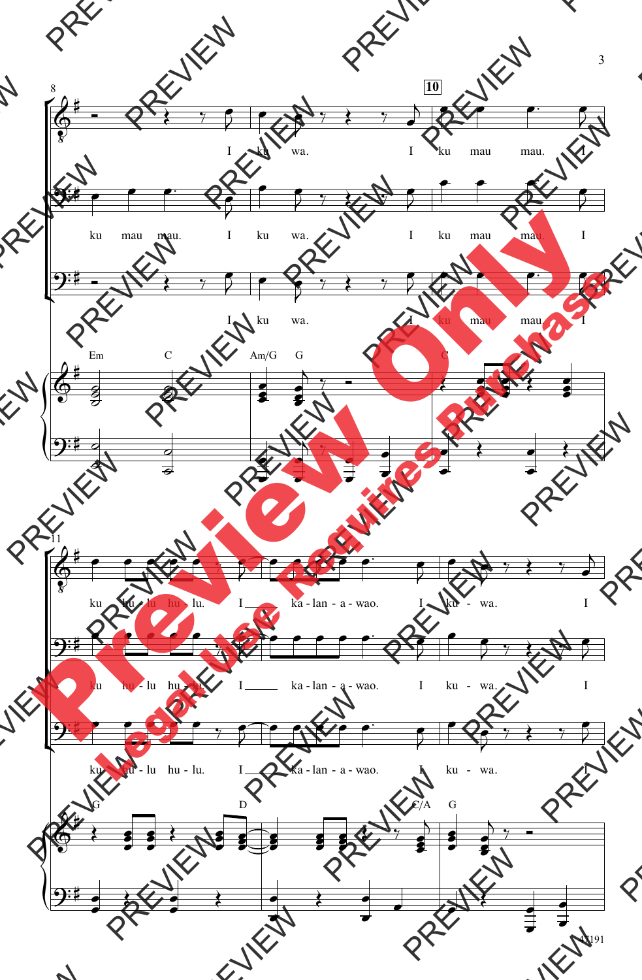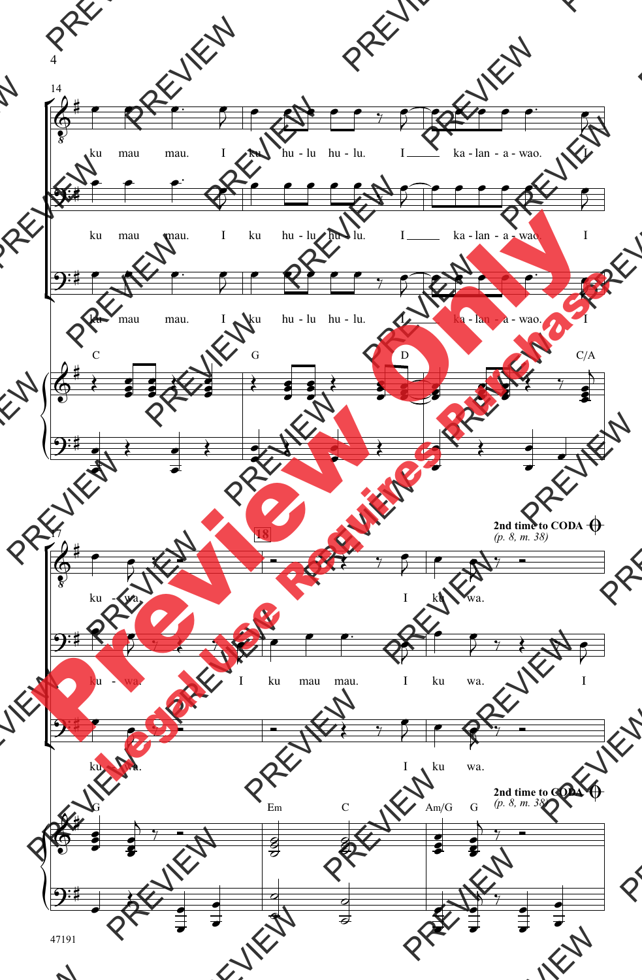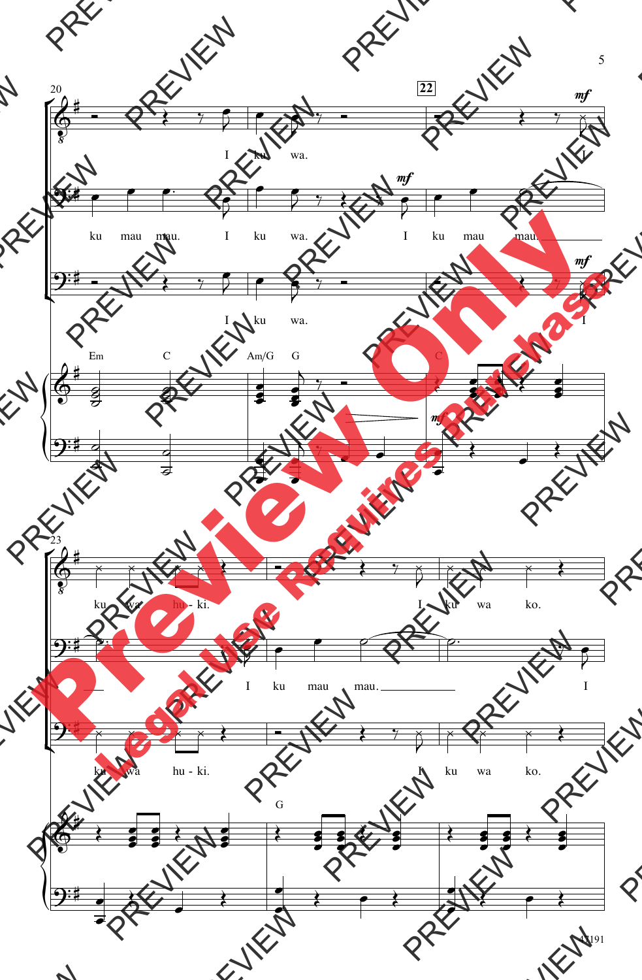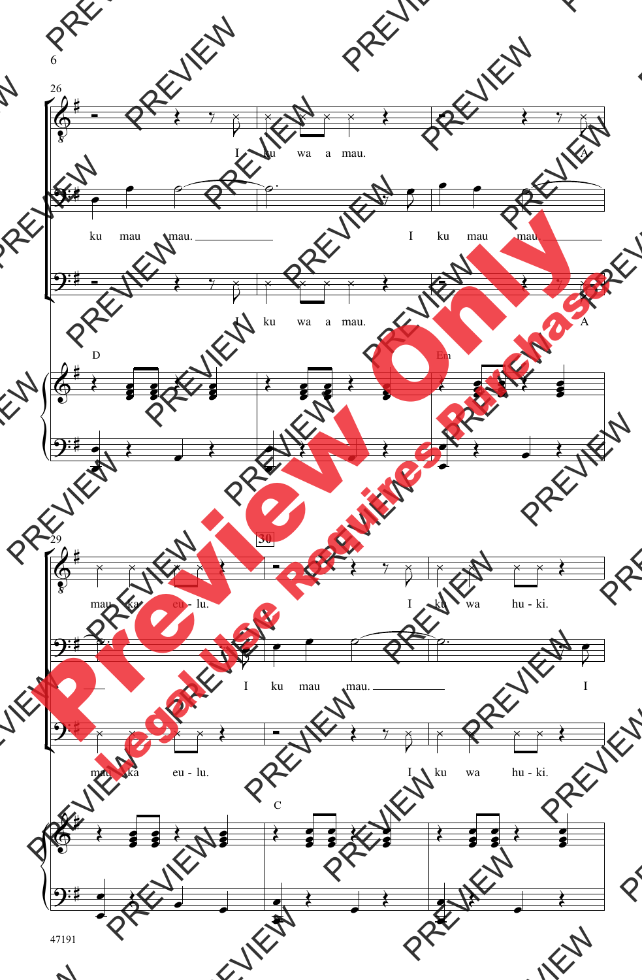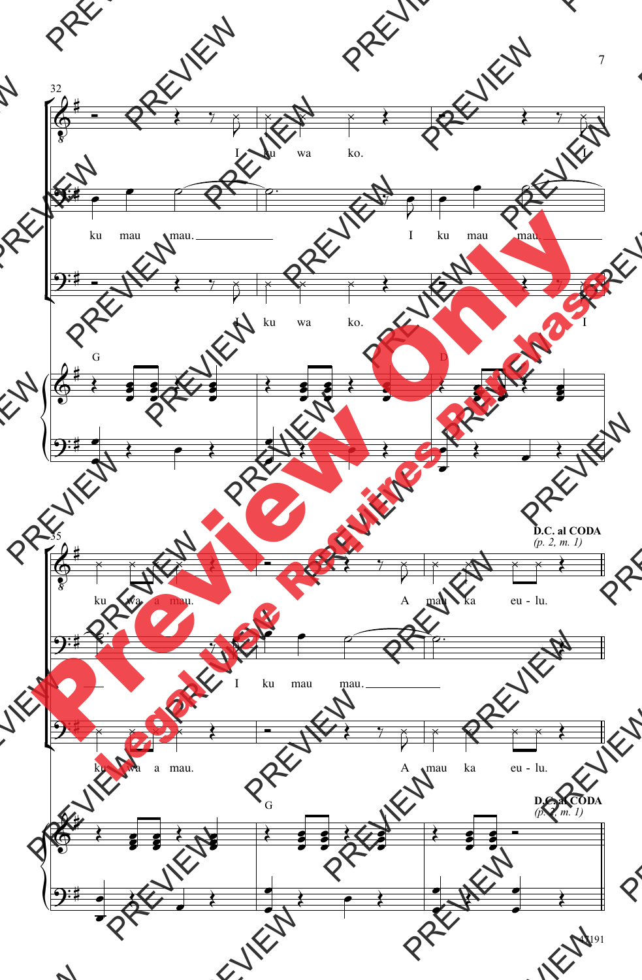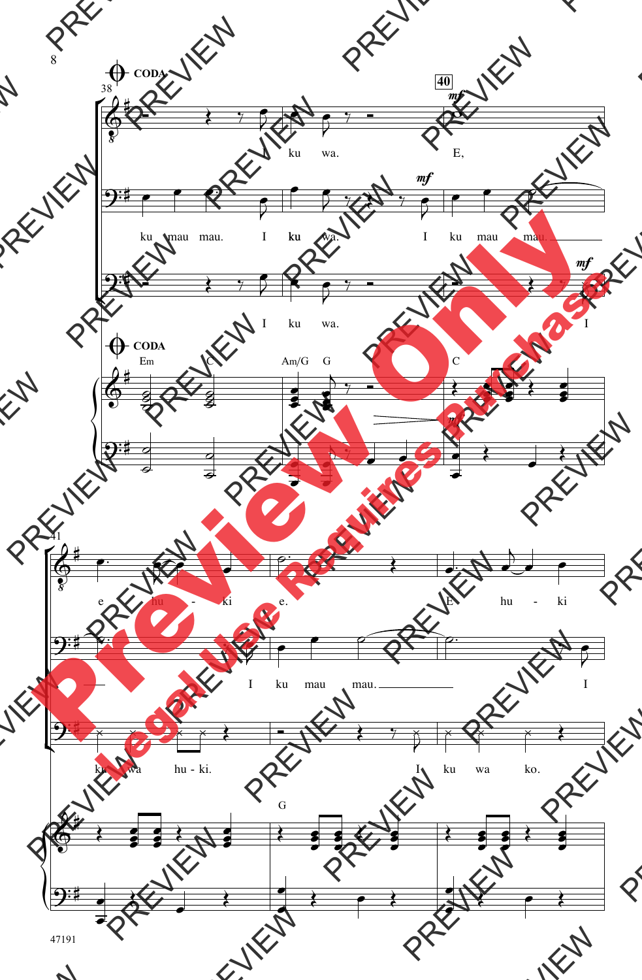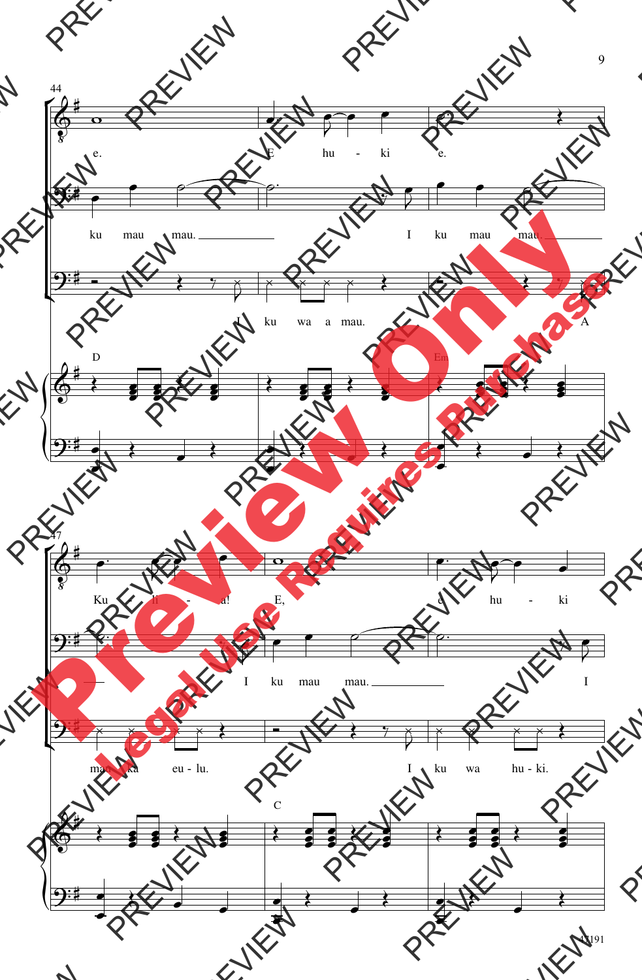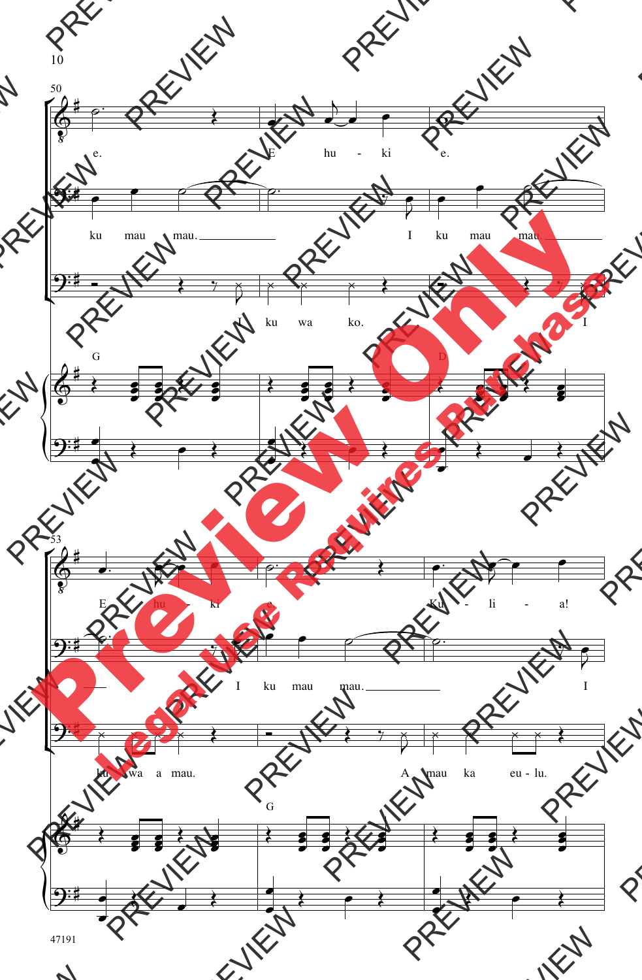